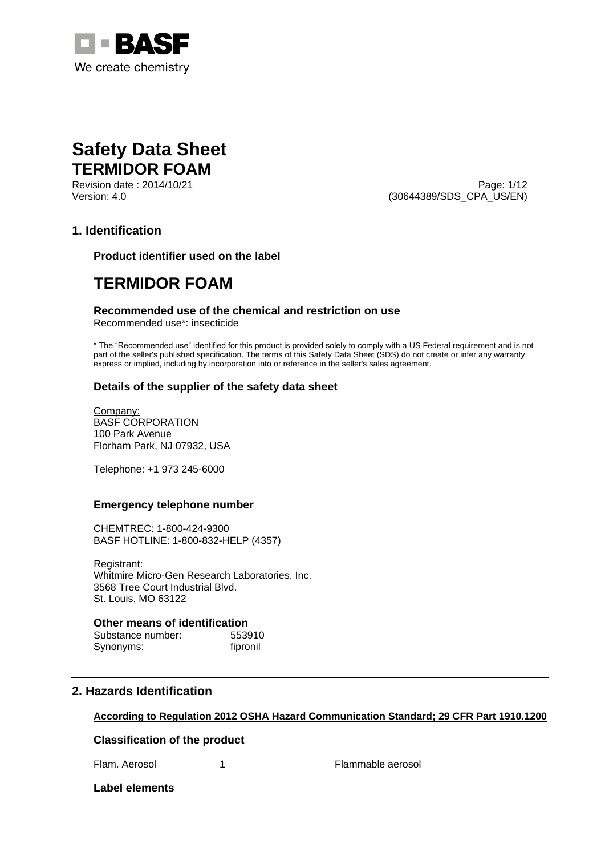

Revision date : 2014/10/21 Page: 1/12

Version: 4.0 (30644389/SDS\_CPA\_US/EN)

### **1. Identification**

**Product identifier used on the label**

## **TERMIDOR FOAM**

### **Recommended use of the chemical and restriction on use**

Recommended use\*: insecticide

\* The "Recommended use" identified for this product is provided solely to comply with a US Federal requirement and is not part of the seller's published specification. The terms of this Safety Data Sheet (SDS) do not create or infer any warranty, express or implied, including by incorporation into or reference in the seller's sales agreement.

### **Details of the supplier of the safety data sheet**

Company: BASF CORPORATION 100 Park Avenue Florham Park, NJ 07932, USA

Telephone: +1 973 245-6000

### **Emergency telephone number**

CHEMTREC: 1-800-424-9300 BASF HOTLINE: 1-800-832-HELP (4357)

Registrant: Whitmire Micro-Gen Research Laboratories, Inc. 3568 Tree Court Industrial Blvd. St. Louis, MO 63122

### **Other means of identification**

Substance number: 553910 Synonyms: fipronil

### **2. Hazards Identification**

### **According to Regulation 2012 OSHA Hazard Communication Standard; 29 CFR Part 1910.1200**

### **Classification of the product**

Flam. Aerosol 1 1 Flammable aerosol

**Label elements**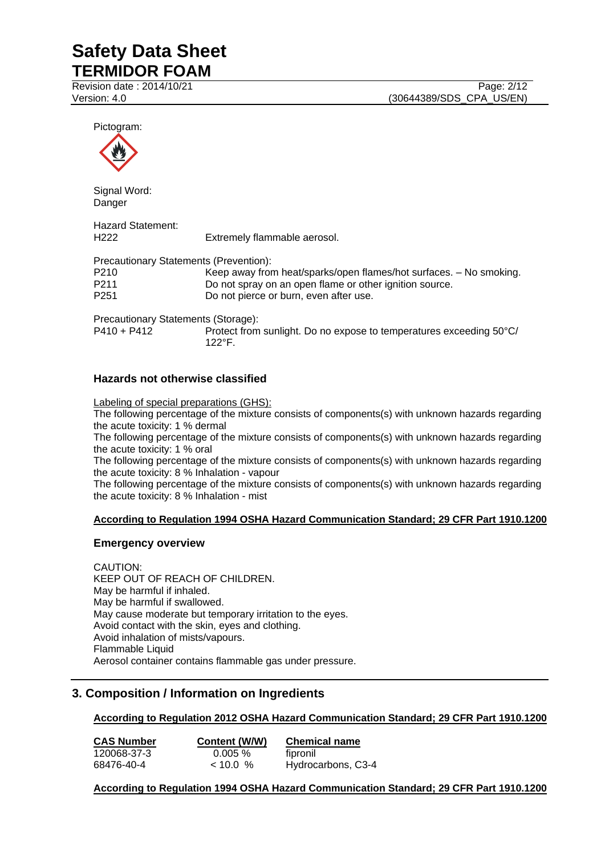Revision date : 2014/10/21 Page: 2/12

Pictogram:



Signal Word: **Danger** 

Hazard Statement: H222 Extremely flammable aerosol. Precautionary Statements (Prevention): P210 Keep away from heat/sparks/open flames/hot surfaces. – No smoking.<br>P211 Do not spray on an open flame or other ignition source. P211 Do not spray on an open flame or other ignition source.<br>P251 Do not pierce or burn, even after use. Do not pierce or burn, even after use. Precautionary Statements (Storage): P410 + P412 Protect from sunlight. Do no expose to temperatures exceeding 50°C/

**Hazards not otherwise classified**

Labeling of special preparations (GHS):

 $122^{\circ}F$ 

The following percentage of the mixture consists of components(s) with unknown hazards regarding the acute toxicity: 1 % dermal

The following percentage of the mixture consists of components(s) with unknown hazards regarding the acute toxicity: 1 % oral

The following percentage of the mixture consists of components(s) with unknown hazards regarding the acute toxicity: 8 % Inhalation - vapour

The following percentage of the mixture consists of components(s) with unknown hazards regarding the acute toxicity: 8 % Inhalation - mist

### **According to Regulation 1994 OSHA Hazard Communication Standard; 29 CFR Part 1910.1200**

### **Emergency overview**

CAUTION: KEEP OUT OF REACH OF CHILDREN. May be harmful if inhaled. May be harmful if swallowed. May cause moderate but temporary irritation to the eyes. Avoid contact with the skin, eyes and clothing. Avoid inhalation of mists/vapours. Flammable Liquid Aerosol container contains flammable gas under pressure.

### **3. Composition / Information on Ingredients**

## **According to Regulation 2012 OSHA Hazard Communication Standard; 29 CFR Part 1910.1200**

| <b>CAS Number</b> | Content (W/W) | <b>Chemical name</b> |
|-------------------|---------------|----------------------|
| 120068-37-3       | $0.005 \%$    | fipronil             |
| 68476-40-4        | $< 10.0$ %    | Hydrocarbons, C3-4   |

**According to Regulation 1994 OSHA Hazard Communication Standard; 29 CFR Part 1910.1200**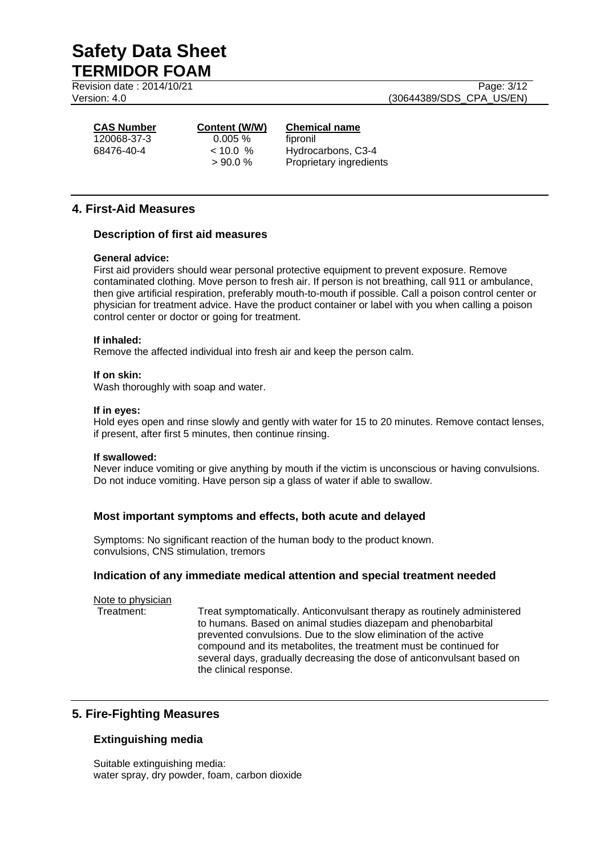Revision date : 2014/10/21 Page: 3/12

Version: 4.0 (30644389/SDS\_CPA\_US/EN)

120068-37-3 0.005 % fipronil

### **CAS Number Content (W/W) Chemical name**

 $<$  10.0 % Hydrocarbons, C3-4 > 90.0 % Proprietary ingredients

## **4. First-Aid Measures**

### **Description of first aid measures**

### **General advice:**

First aid providers should wear personal protective equipment to prevent exposure. Remove contaminated clothing. Move person to fresh air. If person is not breathing, call 911 or ambulance, then give artificial respiration, preferably mouth-to-mouth if possible. Call a poison control center or physician for treatment advice. Have the product container or label with you when calling a poison control center or doctor or going for treatment.

### **If inhaled:**

Remove the affected individual into fresh air and keep the person calm.

#### **If on skin:**

Wash thoroughly with soap and water.

#### **If in eyes:**

Hold eyes open and rinse slowly and gently with water for 15 to 20 minutes. Remove contact lenses, if present, after first 5 minutes, then continue rinsing.

#### **If swallowed:**

Never induce vomiting or give anything by mouth if the victim is unconscious or having convulsions. Do not induce vomiting. Have person sip a glass of water if able to swallow.

### **Most important symptoms and effects, both acute and delayed**

Symptoms: No significant reaction of the human body to the product known. convulsions, CNS stimulation, tremors

### **Indication of any immediate medical attention and special treatment needed**

Note to physician

Treatment: Treat symptomatically. Anticonvulsant therapy as routinely administered to humans. Based on animal studies diazepam and phenobarbital prevented convulsions. Due to the slow elimination of the active compound and its metabolites, the treatment must be continued for several days, gradually decreasing the dose of anticonvulsant based on the clinical response.

### **5. Fire-Fighting Measures**

### **Extinguishing media**

Suitable extinguishing media: water spray, dry powder, foam, carbon dioxide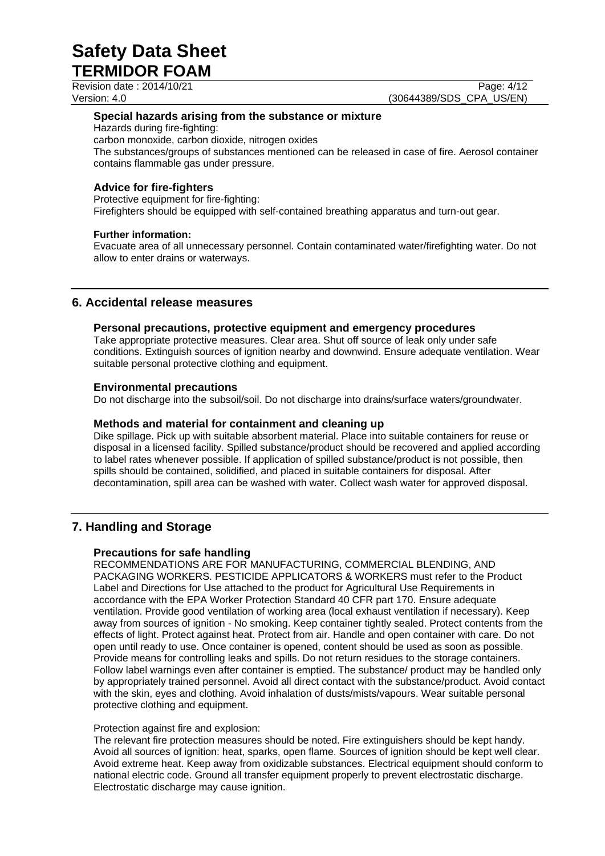Revision date : 2014/10/21 Page: 4/12

Version: 4.0 (30644389/SDS\_CPA\_US/EN)

### **Special hazards arising from the substance or mixture**

Hazards during fire-fighting:

carbon monoxide, carbon dioxide, nitrogen oxides

The substances/groups of substances mentioned can be released in case of fire. Aerosol container contains flammable gas under pressure.

### **Advice for fire-fighters**

Protective equipment for fire-fighting: Firefighters should be equipped with self-contained breathing apparatus and turn-out gear.

### **Further information:**

Evacuate area of all unnecessary personnel. Contain contaminated water/firefighting water. Do not allow to enter drains or waterways.

## **6. Accidental release measures**

### **Personal precautions, protective equipment and emergency procedures**

Take appropriate protective measures. Clear area. Shut off source of leak only under safe conditions. Extinguish sources of ignition nearby and downwind. Ensure adequate ventilation. Wear suitable personal protective clothing and equipment.

### **Environmental precautions**

Do not discharge into the subsoil/soil. Do not discharge into drains/surface waters/groundwater.

### **Methods and material for containment and cleaning up**

Dike spillage. Pick up with suitable absorbent material. Place into suitable containers for reuse or disposal in a licensed facility. Spilled substance/product should be recovered and applied according to label rates whenever possible. If application of spilled substance/product is not possible, then spills should be contained, solidified, and placed in suitable containers for disposal. After decontamination, spill area can be washed with water. Collect wash water for approved disposal.

### **7. Handling and Storage**

### **Precautions for safe handling**

RECOMMENDATIONS ARE FOR MANUFACTURING, COMMERCIAL BLENDING, AND PACKAGING WORKERS. PESTICIDE APPLICATORS & WORKERS must refer to the Product Label and Directions for Use attached to the product for Agricultural Use Requirements in accordance with the EPA Worker Protection Standard 40 CFR part 170. Ensure adequate ventilation. Provide good ventilation of working area (local exhaust ventilation if necessary). Keep away from sources of ignition - No smoking. Keep container tightly sealed. Protect contents from the effects of light. Protect against heat. Protect from air. Handle and open container with care. Do not open until ready to use. Once container is opened, content should be used as soon as possible. Provide means for controlling leaks and spills. Do not return residues to the storage containers. Follow label warnings even after container is emptied. The substance/ product may be handled only by appropriately trained personnel. Avoid all direct contact with the substance/product. Avoid contact with the skin, eyes and clothing. Avoid inhalation of dusts/mists/vapours. Wear suitable personal protective clothing and equipment.

### Protection against fire and explosion:

The relevant fire protection measures should be noted. Fire extinguishers should be kept handy. Avoid all sources of ignition: heat, sparks, open flame. Sources of ignition should be kept well clear. Avoid extreme heat. Keep away from oxidizable substances. Electrical equipment should conform to national electric code. Ground all transfer equipment properly to prevent electrostatic discharge. Electrostatic discharge may cause ignition.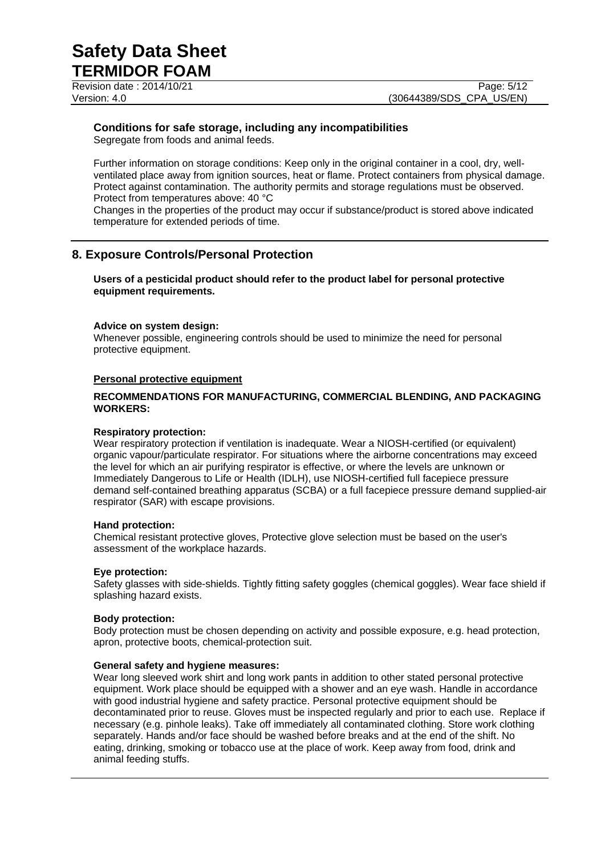Revision date : 2014/10/21 Page: 5/12

## **Conditions for safe storage, including any incompatibilities**

Segregate from foods and animal feeds.

Further information on storage conditions: Keep only in the original container in a cool, dry, wellventilated place away from ignition sources, heat or flame. Protect containers from physical damage. Protect against contamination. The authority permits and storage regulations must be observed. Protect from temperatures above: 40 °C

Changes in the properties of the product may occur if substance/product is stored above indicated temperature for extended periods of time.

## **8. Exposure Controls/Personal Protection**

### **Users of a pesticidal product should refer to the product label for personal protective equipment requirements.**

### **Advice on system design:**

Whenever possible, engineering controls should be used to minimize the need for personal protective equipment.

### **Personal protective equipment**

### **RECOMMENDATIONS FOR MANUFACTURING, COMMERCIAL BLENDING, AND PACKAGING WORKERS:**

### **Respiratory protection:**

Wear respiratory protection if ventilation is inadequate. Wear a NIOSH-certified (or equivalent) organic vapour/particulate respirator. For situations where the airborne concentrations may exceed the level for which an air purifying respirator is effective, or where the levels are unknown or Immediately Dangerous to Life or Health (IDLH), use NIOSH-certified full facepiece pressure demand self-contained breathing apparatus (SCBA) or a full facepiece pressure demand supplied-air respirator (SAR) with escape provisions.

### **Hand protection:**

Chemical resistant protective gloves, Protective glove selection must be based on the user's assessment of the workplace hazards.

### **Eye protection:**

Safety glasses with side-shields. Tightly fitting safety goggles (chemical goggles). Wear face shield if splashing hazard exists.

### **Body protection:**

Body protection must be chosen depending on activity and possible exposure, e.g. head protection, apron, protective boots, chemical-protection suit.

### **General safety and hygiene measures:**

Wear long sleeved work shirt and long work pants in addition to other stated personal protective equipment. Work place should be equipped with a shower and an eye wash. Handle in accordance with good industrial hygiene and safety practice. Personal protective equipment should be decontaminated prior to reuse. Gloves must be inspected regularly and prior to each use. Replace if necessary (e.g. pinhole leaks). Take off immediately all contaminated clothing. Store work clothing separately. Hands and/or face should be washed before breaks and at the end of the shift. No eating, drinking, smoking or tobacco use at the place of work. Keep away from food, drink and animal feeding stuffs.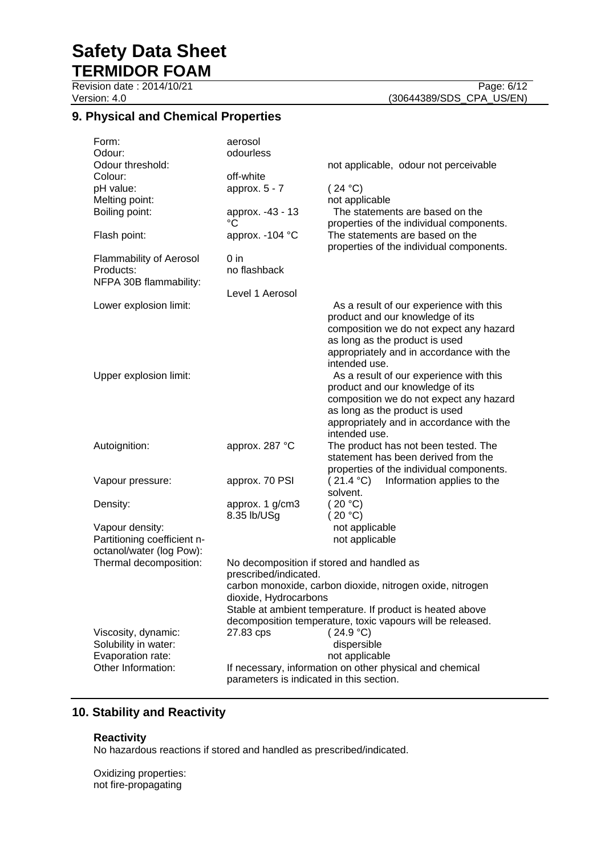Revision date : 2014/10/21 Page: 6/12

# Version: 4.0 (30644389/SDS\_CPA\_US/EN)

## **9. Physical and Chemical Properties**

| Form:                                     | aerosol                                  |                                                                             |
|-------------------------------------------|------------------------------------------|-----------------------------------------------------------------------------|
| Odour:                                    | odourless                                |                                                                             |
| Odour threshold:                          |                                          | not applicable, odour not perceivable                                       |
| Colour:<br>pH value:                      | off-white<br>approx. $5 - 7$             | (24 °C)                                                                     |
| Melting point:                            |                                          | not applicable                                                              |
| Boiling point:                            | approx. -43 - 13<br>°C                   | The statements are based on the<br>properties of the individual components. |
| Flash point:                              | approx. -104 °C                          | The statements are based on the<br>properties of the individual components. |
| <b>Flammability of Aerosol</b>            | $0$ in                                   |                                                                             |
| Products:<br>NFPA 30B flammability:       | no flashback                             |                                                                             |
|                                           | Level 1 Aerosol                          |                                                                             |
| Lower explosion limit:                    |                                          | As a result of our experience with this<br>product and our knowledge of its |
|                                           |                                          | composition we do not expect any hazard                                     |
|                                           |                                          | as long as the product is used                                              |
|                                           |                                          | appropriately and in accordance with the<br>intended use.                   |
| Upper explosion limit:                    |                                          | As a result of our experience with this                                     |
|                                           |                                          | product and our knowledge of its                                            |
|                                           |                                          | composition we do not expect any hazard                                     |
|                                           |                                          | as long as the product is used                                              |
|                                           |                                          | appropriately and in accordance with the                                    |
|                                           |                                          | intended use.                                                               |
| Autoignition:                             | approx. 287 °C                           | The product has not been tested. The                                        |
|                                           |                                          | statement has been derived from the                                         |
|                                           |                                          | properties of the individual components.                                    |
| Vapour pressure:                          | approx. 70 PSI                           | (21.4 °C)<br>Information applies to the<br>solvent.                         |
|                                           |                                          | (20 °C)                                                                     |
| Density:                                  | approx. 1 g/cm3<br>8.35 lb/USg           | (20 °C)                                                                     |
| Vapour density:                           |                                          | not applicable                                                              |
| Partitioning coefficient n-               |                                          | not applicable                                                              |
| octanol/water (log Pow):                  |                                          |                                                                             |
| Thermal decomposition:                    |                                          | No decomposition if stored and handled as                                   |
|                                           | prescribed/indicated.                    |                                                                             |
|                                           |                                          | carbon monoxide, carbon dioxide, nitrogen oxide, nitrogen                   |
|                                           | dioxide, Hydrocarbons                    |                                                                             |
|                                           |                                          | Stable at ambient temperature. If product is heated above                   |
|                                           |                                          | decomposition temperature, toxic vapours will be released.                  |
| Viscosity, dynamic:                       | 27.83 cps                                | (24.9 °C)<br>dispersible                                                    |
| Solubility in water:<br>Evaporation rate: |                                          | not applicable                                                              |
| Other Information:                        |                                          | If necessary, information on other physical and chemical                    |
|                                           | parameters is indicated in this section. |                                                                             |

## **10. Stability and Reactivity**

### **Reactivity**

No hazardous reactions if stored and handled as prescribed/indicated.

Oxidizing properties: not fire-propagating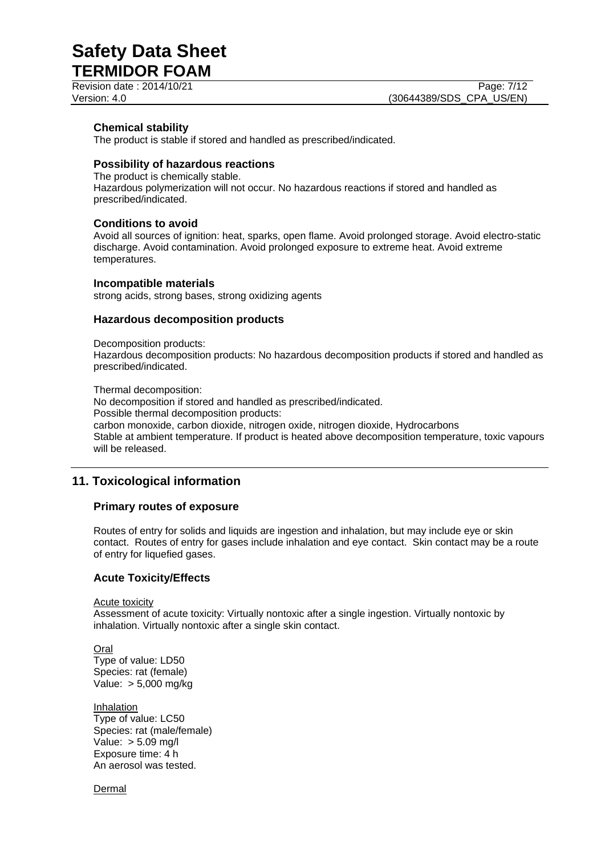Revision date : 2014/10/21 Page: 7/12

### **Chemical stability**

The product is stable if stored and handled as prescribed/indicated.

### **Possibility of hazardous reactions**

The product is chemically stable. Hazardous polymerization will not occur. No hazardous reactions if stored and handled as prescribed/indicated.

### **Conditions to avoid**

Avoid all sources of ignition: heat, sparks, open flame. Avoid prolonged storage. Avoid electro-static discharge. Avoid contamination. Avoid prolonged exposure to extreme heat. Avoid extreme temperatures.

### **Incompatible materials**

strong acids, strong bases, strong oxidizing agents

### **Hazardous decomposition products**

Decomposition products:

Hazardous decomposition products: No hazardous decomposition products if stored and handled as prescribed/indicated.

Thermal decomposition: No decomposition if stored and handled as prescribed/indicated. Possible thermal decomposition products: carbon monoxide, carbon dioxide, nitrogen oxide, nitrogen dioxide, Hydrocarbons Stable at ambient temperature. If product is heated above decomposition temperature, toxic vapours will be released.

## **11. Toxicological information**

### **Primary routes of exposure**

Routes of entry for solids and liquids are ingestion and inhalation, but may include eye or skin contact. Routes of entry for gases include inhalation and eye contact. Skin contact may be a route of entry for liquefied gases.

### **Acute Toxicity/Effects**

Acute toxicity

Assessment of acute toxicity: Virtually nontoxic after a single ingestion. Virtually nontoxic by inhalation. Virtually nontoxic after a single skin contact.

**Oral** Type of value: LD50 Species: rat (female) Value: > 5,000 mg/kg

Inhalation Type of value: LC50 Species: rat (male/female) Value: > 5.09 mg/l Exposure time: 4 h An aerosol was tested.

Dermal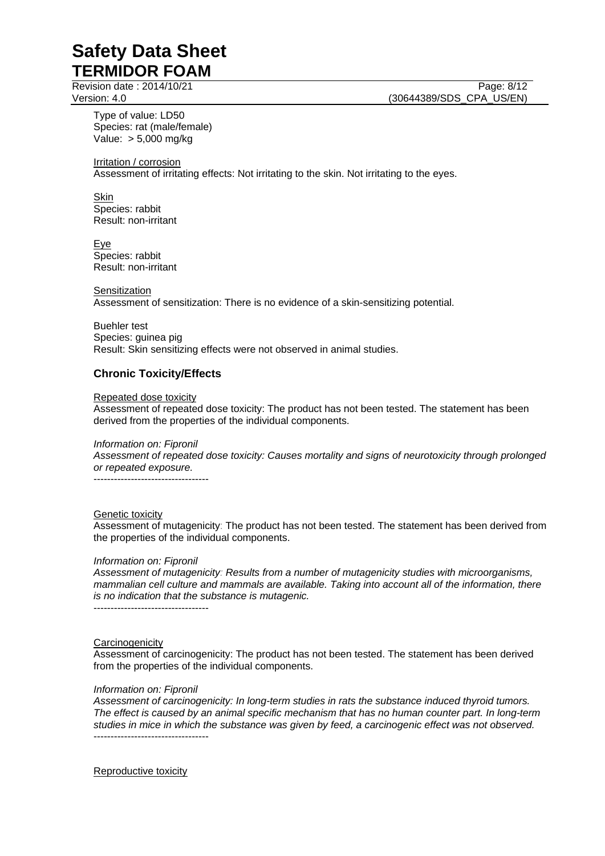Revision date : 2014/10/21 Page: 8/12

Type of value: LD50 Species: rat (male/female) Value: > 5,000 mg/kg

Irritation / corrosion

Assessment of irritating effects: Not irritating to the skin. Not irritating to the eyes.

Skin Species: rabbit Result: non-irritant

Eye Species: rabbit Result: non-irritant

**Sensitization** Assessment of sensitization: There is no evidence of a skin-sensitizing potential.

Buehler test Species: guinea pig Result: Skin sensitizing effects were not observed in animal studies.

### **Chronic Toxicity/Effects**

Repeated dose toxicity

Assessment of repeated dose toxicity: The product has not been tested. The statement has been derived from the properties of the individual components.

*Information on: Fipronil*

*Assessment of repeated dose toxicity: Causes mortality and signs of neurotoxicity through prolonged or repeated exposure.*

----------------------------------

### Genetic toxicity

Assessment of mutagenicity: The product has not been tested. The statement has been derived from the properties of the individual components.

### *Information on: Fipronil*

*Assessment of mutagenicity: Results from a number of mutagenicity studies with microorganisms, mammalian cell culture and mammals are available. Taking into account all of the information, there is no indication that the substance is mutagenic.*

----------------------------------

### **Carcinogenicity**

Assessment of carcinogenicity: The product has not been tested. The statement has been derived from the properties of the individual components.

### *Information on: Fipronil*

*Assessment of carcinogenicity: In long-term studies in rats the substance induced thyroid tumors. The effect is caused by an animal specific mechanism that has no human counter part. In long-term studies in mice in which the substance was given by feed, a carcinogenic effect was not observed.* ----------------------------------

Reproductive toxicity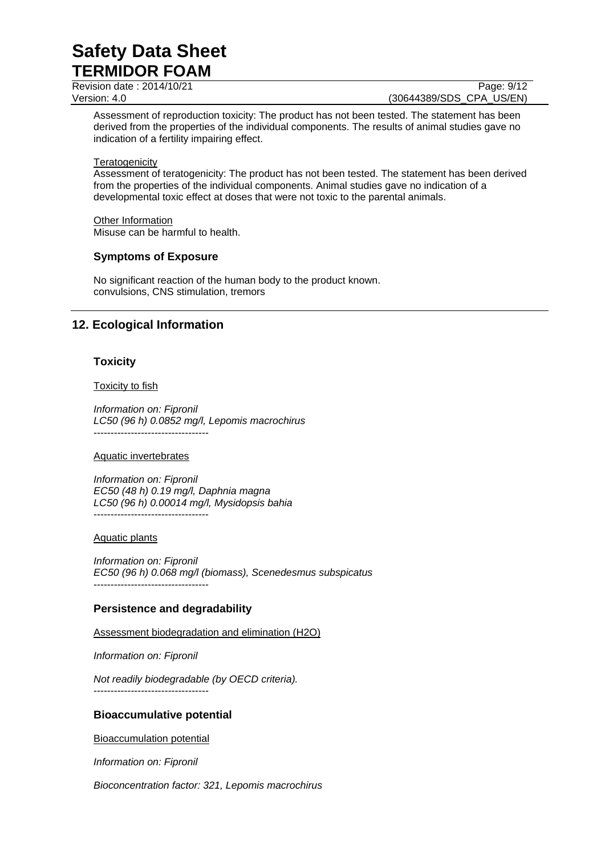Revision date : 2014/10/21 Page: 9/12

Version: 4.0 (30644389/SDS\_CPA\_US/EN)

Assessment of reproduction toxicity: The product has not been tested. The statement has been derived from the properties of the individual components. The results of animal studies gave no indication of a fertility impairing effect.

#### **Teratogenicity**

Assessment of teratogenicity: The product has not been tested. The statement has been derived from the properties of the individual components. Animal studies gave no indication of a developmental toxic effect at doses that were not toxic to the parental animals.

### Other Information

Misuse can be harmful to health.

### **Symptoms of Exposure**

No significant reaction of the human body to the product known. convulsions, CNS stimulation, tremors

### **12. Ecological Information**

### **Toxicity**

#### Toxicity to fish

*Information on: Fipronil LC50 (96 h) 0.0852 mg/l, Lepomis macrochirus* ----------------------------------

#### Aquatic invertebrates

*Information on: Fipronil EC50 (48 h) 0.19 mg/l, Daphnia magna LC50 (96 h) 0.00014 mg/l, Mysidopsis bahia* ----------------------------------

#### Aquatic plants

*Information on: Fipronil EC50 (96 h) 0.068 mg/l (biomass), Scenedesmus subspicatus* ----------------------------------

### **Persistence and degradability**

Assessment biodegradation and elimination (H2O)

*Information on: Fipronil*

*Not readily biodegradable (by OECD criteria).* ----------------------------------

### **Bioaccumulative potential**

Bioaccumulation potential

*Information on: Fipronil*

*Bioconcentration factor: 321, Lepomis macrochirus*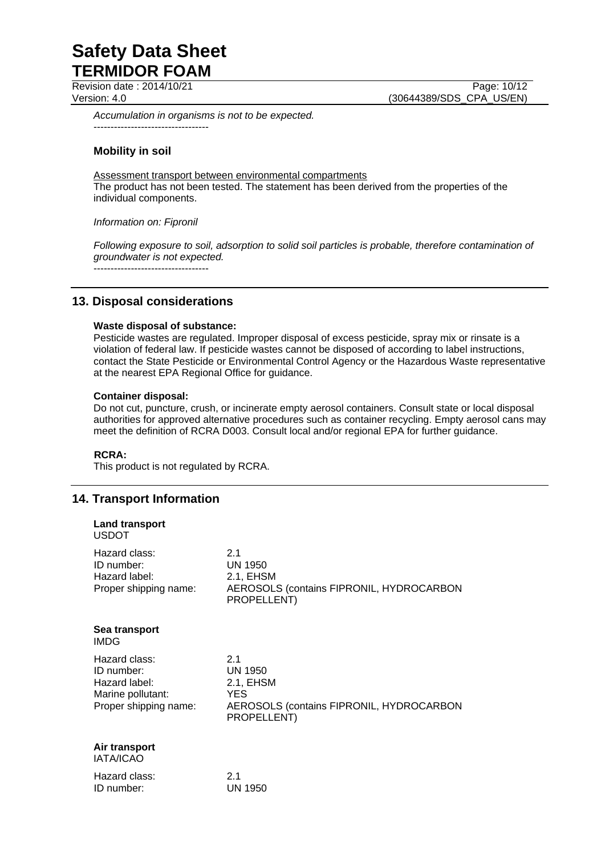Revision date : 2014/10/21 Page: 10/12

Version: 4.0 (30644389/SDS\_CPA\_US/EN)

*Accumulation in organisms is not to be expected.* ----------------------------------

### **Mobility in soil**

Assessment transport between environmental compartments The product has not been tested. The statement has been derived from the properties of the individual components.

*Information on: Fipronil*

*Following exposure to soil, adsorption to solid soil particles is probable, therefore contamination of groundwater is not expected.*

----------------------------------

## **13. Disposal considerations**

### **Waste disposal of substance:**

Pesticide wastes are regulated. Improper disposal of excess pesticide, spray mix or rinsate is a violation of federal law. If pesticide wastes cannot be disposed of according to label instructions, contact the State Pesticide or Environmental Control Agency or the Hazardous Waste representative at the nearest EPA Regional Office for guidance.

### **Container disposal:**

Do not cut, puncture, crush, or incinerate empty aerosol containers. Consult state or local disposal authorities for approved alternative procedures such as container recycling. Empty aerosol cans may meet the definition of RCRA D003. Consult local and/or regional EPA for further guidance.

### **RCRA:**

This product is not regulated by RCRA.

### **14. Transport Information**

| <b>Land transport</b><br><b>USDOT</b>                                                      |                                                                                                             |
|--------------------------------------------------------------------------------------------|-------------------------------------------------------------------------------------------------------------|
| Hazard class:<br>ID number:<br>Hazard label:<br>Proper shipping name:                      | 2.1<br><b>UN 1950</b><br>2.1, EHSM<br>AEROSOLS (contains FIPRONIL, HYDROCARBON<br>PROPELLENT)               |
| Sea transport<br><b>IMDG</b>                                                               |                                                                                                             |
| Hazard class:<br>ID number:<br>Hazard label:<br>Marine pollutant:<br>Proper shipping name: | 2.1<br><b>UN 1950</b><br>2.1, EHSM<br><b>YES</b><br>AEROSOLS (contains FIPRONIL, HYDROCARBON<br>PROPELLENT) |
| Air transport<br><b>IATA/ICAO</b>                                                          |                                                                                                             |
| Hazard class:<br>ID number:                                                                | 2.1<br><b>UN 1950</b>                                                                                       |
|                                                                                            |                                                                                                             |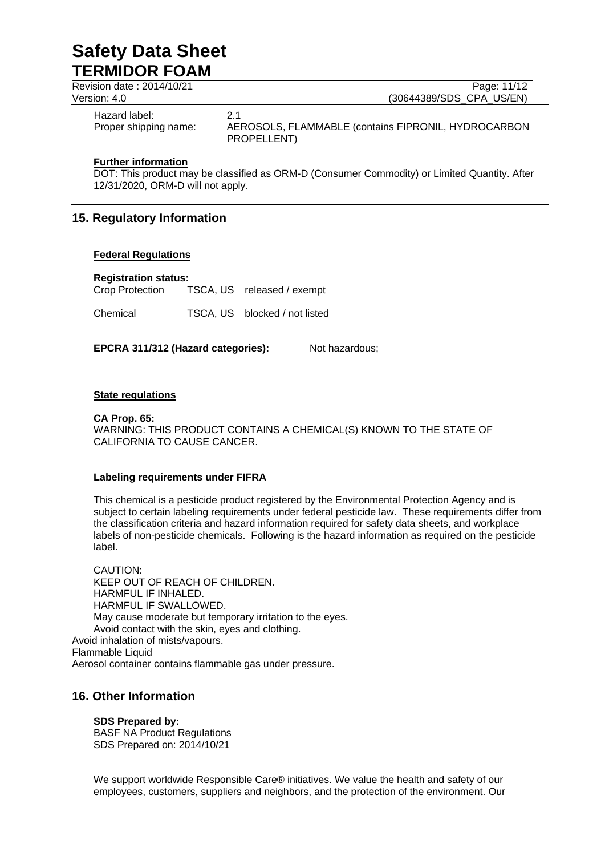| Revision date: 2014/10/21              | Page: 11/12                                                               |
|----------------------------------------|---------------------------------------------------------------------------|
| Version: 4.0                           | (30644389/SDS CPA US/EN)                                                  |
| Hazard label:<br>Proper shipping name: | 2.1<br>AEROSOLS, FLAMMABLE (contains FIPRONIL, HYDROCARBON<br>PROPELLENT) |

### **Further information**

DOT: This product may be classified as ORM-D (Consumer Commodity) or Limited Quantity. After 12/31/2020, ORM-D will not apply.

## **15. Regulatory Information**

### **Federal Regulations**

**Registration status:** TSCA, US released / exempt

Chemical TSCA, US blocked / not listed

**EPCRA 311/312 (Hazard categories):** Not hazardous;

### **State regulations**

**CA Prop. 65:** WARNING: THIS PRODUCT CONTAINS A CHEMICAL(S) KNOWN TO THE STATE OF CALIFORNIA TO CAUSE CANCER.

### **Labeling requirements under FIFRA**

This chemical is a pesticide product registered by the Environmental Protection Agency and is subject to certain labeling requirements under federal pesticide law. These requirements differ from the classification criteria and hazard information required for safety data sheets, and workplace labels of non-pesticide chemicals. Following is the hazard information as required on the pesticide label.

CAUTION: KEEP OUT OF REACH OF CHILDREN. HARMFUL IF INHALED. HARMFUL IF SWALLOWED. May cause moderate but temporary irritation to the eyes. Avoid contact with the skin, eyes and clothing. Avoid inhalation of mists/vapours. Flammable Liquid Aerosol container contains flammable gas under pressure.

### **16. Other Information**

### **SDS Prepared by:**

BASF NA Product Regulations SDS Prepared on: 2014/10/21

We support worldwide Responsible Care® initiatives. We value the health and safety of our employees, customers, suppliers and neighbors, and the protection of the environment. Our